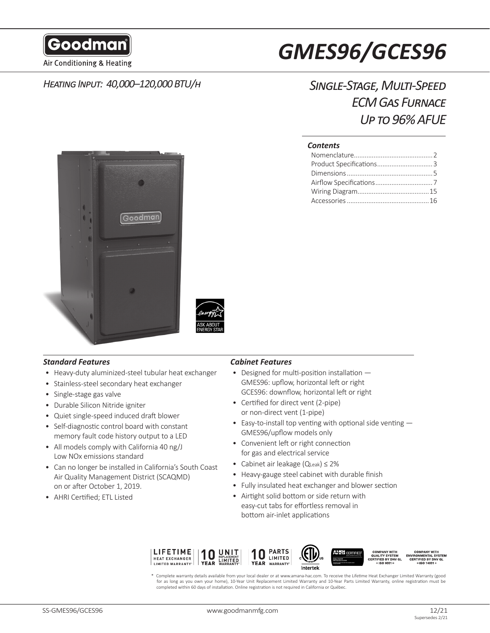

Air Conditioning & Heating

## *Heating Input: 40,000–120,000 BTU/h*

# *GMES96/GCES96*

## *Single-Stage, Multi-Speed ECM Gas Furnace Up to 96% AFUE*

#### *Contents*





#### *Standard Features Cabinet Features*

- Heavy-duty aluminized-steel tubular heat exchanger
- Stainless-steel secondary heat exchanger
- Single-stage gas valve
- Durable Silicon Nitride igniter
- Quiet single-speed induced draft blower
- Self-diagnostic control board with constant memory fault code history output to a LED
- All models comply with California 40 ng/J Low NOx emissions standard
- Can no longer be installed in California's South Coast Air Quality Management District (SCAQMD) on or after October 1, 2019.
- AHRI Certified; ETL Listed

- Designed for multi-position installation GMES96: upflow, horizontal left or right GCES96: downflow, horizontal left or right
- Certified for direct vent (2-pipe) or non-direct vent (1-pipe)
- Easy-to-install top venting with optional side venting GMES96/upflow models only
- Convenient left or right connection for gas and electrical service
- Cabinet air leakage (QLeak) ≤ 2%
- Heavy-gauge steel cabinet with durable finish
- Fully insulated heat exchanger and blower section
- Airtight solid bottom or side return with easy-cut tabs for effortless removal in bottom air-inlet applications



\* Complete warranty details available from your local dealer or at www.amana-hac.com. To receive the Lifetime Heat Exchanger Limited Warranty (good for as long as you own your home), 10-Year Unit Replacement Limited Warranty and 10-Year Parts Limited Warranty, online registration must be<br>completed within 60 days of installation. Online registration is not required in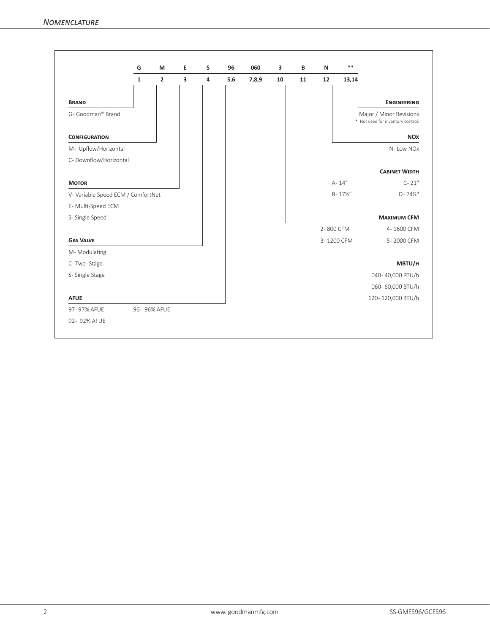|                                    | G            | M              | Е | S | 96  | 060   | 3  | B  | N         | $***$               |                                                              |
|------------------------------------|--------------|----------------|---|---|-----|-------|----|----|-----------|---------------------|--------------------------------------------------------------|
|                                    | $\mathbf{1}$ | $\overline{2}$ | 3 | 4 | 5,6 | 7,8,9 | 10 | 11 | 12        | 13,14               |                                                              |
| <b>BRAND</b>                       |              |                |   |   |     |       |    |    |           |                     | <b>ENGINEERING</b>                                           |
| G- Goodman® Brand                  |              |                |   |   |     |       |    |    |           |                     | Major / Minor Revisions<br>* Not used for inventory control. |
| <b>CONFIGURATION</b>               |              |                |   |   |     |       |    |    |           |                     | <b>NOX</b>                                                   |
| M- Upflow/Horizontal               |              |                |   |   |     |       |    |    |           |                     | N-Low NOx                                                    |
| C- Downflow/Horizontal             |              |                |   |   |     |       |    |    |           |                     |                                                              |
|                                    |              |                |   |   |     |       |    |    |           |                     | <b>CABINET WIDTH</b>                                         |
| <b>MOTOR</b>                       |              |                |   |   |     |       |    |    |           | A-14"               | $C - 21"$                                                    |
| V- Variable Speed ECM / ComfortNet |              |                |   |   |     |       |    |    |           | $B - 17\frac{1}{2}$ | $D - 24\frac{1}{2}$ "                                        |
| E-Multi-Speed ECM                  |              |                |   |   |     |       |    |    |           |                     |                                                              |
| S- Single Speed                    |              |                |   |   |     |       |    |    |           |                     | <b>MAXIMUM CFM</b>                                           |
|                                    |              |                |   |   |     |       |    |    | 2-800 CFM |                     | 4-1600 CFM                                                   |
| <b>GAS VALVE</b>                   |              |                |   |   |     |       |    |    |           | 3-1200 CFM          | 5-2000 CFM                                                   |
| M-Modulating                       |              |                |   |   |     |       |    |    |           |                     |                                                              |
| C-Two-Stage                        |              |                |   |   |     |       |    |    |           |                     | MBTU/H                                                       |
| S-Single Stage                     |              |                |   |   |     |       |    |    |           |                     | 040-40,000 BTU/h                                             |
|                                    |              |                |   |   |     |       |    |    |           |                     | 060-60,000 BTU/h                                             |
| <b>AFUE</b>                        |              |                |   |   |     |       |    |    |           |                     | 120-120,000 BTU/h                                            |
| 97-97% AFUE                        |              | 96- 96% AFUE   |   |   |     |       |    |    |           |                     |                                                              |
| 92- 92% AFUE                       |              |                |   |   |     |       |    |    |           |                     |                                                              |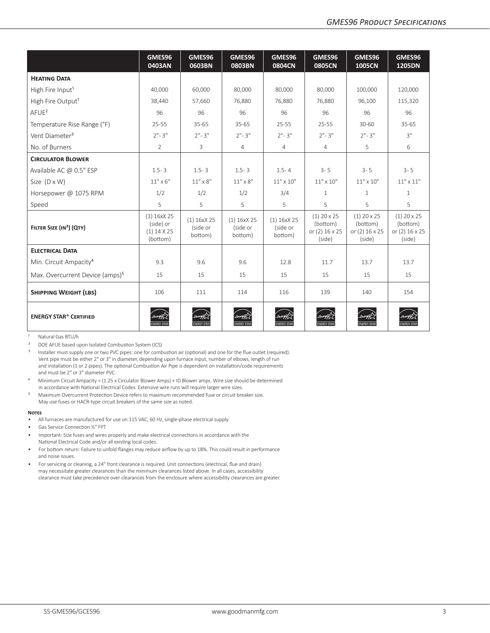|                                             | GMES96<br>0403AN                                               | GMES96<br>0603BN                   | GMES96<br>0803BN                   | GMES96<br>0804CN                     | GMES96<br><b>0805CN</b>                               | GMES96<br><b>1005CN</b>                                      | GMES96<br>1205DN                                      |
|---------------------------------------------|----------------------------------------------------------------|------------------------------------|------------------------------------|--------------------------------------|-------------------------------------------------------|--------------------------------------------------------------|-------------------------------------------------------|
| <b>HEATING DATA</b>                         |                                                                |                                    |                                    |                                      |                                                       |                                                              |                                                       |
| High Fire Input <sup>1</sup>                | 40,000                                                         | 60,000                             | 80,000                             | 80,000                               | 80,000                                                | 100,000                                                      | 120,000                                               |
| High Fire Output <sup>1</sup>               | 38,440                                                         | 57,660                             | 76,880                             | 76,880                               | 76,880                                                | 96,100                                                       | 115,320                                               |
| $A$ FUE <sup>2</sup>                        | 96                                                             | 96                                 | 96                                 | 96                                   | 96                                                    | 96                                                           | 96                                                    |
| Temperature Rise Range (°F)                 | $25 - 55$                                                      | $35 - 65$                          | $35 - 65$                          | 25-55                                | $25 - 55$                                             | 30-60                                                        | $35 - 65$                                             |
| Vent Diameter <sup>3</sup>                  | $2" - 3"$                                                      | $2" - 3"$                          | $2" - 3"$                          | $2" - 3"$                            | $2" - 3"$                                             | $2" - 3"$                                                    | 3"                                                    |
| No. of Burners                              | $\overline{2}$                                                 | 3                                  | $\overline{4}$                     | 4                                    | $\overline{4}$                                        | 5                                                            | 6                                                     |
| <b>CIRCULATOR BLOWER</b>                    |                                                                |                                    |                                    |                                      |                                                       |                                                              |                                                       |
| Available AC @ 0.5" ESP                     | $1.5 - 3$                                                      | $1.5 - 3$                          | $1.5 - 3$                          | $1.5 - 4$                            | $3 - 5$                                               | $3 - 5$                                                      | $3 - 5$                                               |
| Size $(D \times W)$                         | $11" \times 6"$                                                | $11" \times 8"$                    | $11" \times 8"$                    | $11" \times 10"$                     | $11" \times 10"$                                      | $11" \times 10"$                                             | $11"$ x $11"$                                         |
| Horsepower @ 1075 RPM                       | 1/2                                                            | 1/2                                | 1/2                                | 3/4                                  | $\mathbf{1}$                                          | $\mathbf{1}$                                                 | $\mathbf{1}$                                          |
| Speed                                       | 5                                                              | 5                                  | 5                                  | 5                                    | 5                                                     | 5                                                            | 5                                                     |
| FILTER SIZE (IN <sup>2</sup> ) (QTY)        | $(1)$ 16xX 25<br>(side) or<br>$(1)$ 14 $\times$ 25<br>(bottom) | (1) 16xX 25<br>(side or<br>bottom) | (1) 16xX 25<br>(side or<br>bottom) | $(1)$ 16xX 25<br>(side or<br>bottom) | $(1)$ 20 x 25<br>(bottom)<br>or (2) 16 x 25<br>(side) | $(1)$ 20 $\times$ 25<br>(bottom)<br>or (2) 16 x 25<br>(side) | $(1)$ 20 x 25<br>(bottom)<br>or (2) 16 x 25<br>(side) |
| <b>ELECTRICAL DATA</b>                      |                                                                |                                    |                                    |                                      |                                                       |                                                              |                                                       |
| Min. Circuit Ampacity <sup>4</sup>          | 9.3                                                            | 9.6                                | 9.6                                | 12.8                                 | 11.7                                                  | 13.7                                                         | 13.7                                                  |
| Max. Overcurrent Device (amps) <sup>5</sup> | 15                                                             | 15                                 | 15                                 | 15                                   | 15                                                    | 15                                                           | 15                                                    |
| <b>SHIPPING WEIGHT (LBS)</b>                | 106                                                            | 111                                | 114                                | 116                                  | 139                                                   | 140                                                          | 154                                                   |
| <b>ENERGY STAR® CERTIFIED</b>               | <b>ENERGY STAR</b>                                             | <b>ENERGY STAR</b>                 | <b>ENERGY STAR</b>                 | <b>ENERGY STAR</b>                   | <b>ENERGY STAR</b>                                    | <b>ENERGY STAR</b>                                           |                                                       |

<sup>1</sup> Natural Gas BTU/h

DOE AFUE based upon Isolated Combustion System (ICS)

<sup>3</sup> Installer must supply one or two PVC pipes: one for combustion air (optional) and one for the flue outlet (required). Vent pipe must be either 2" or 3" in diameter, depending upon furnace input, number of elbows, length of run and installation (1 or 2 pipes). The optional Combustion Air Pipe is dependent on installation/code requirements and must be 2" or 3" diameter PVC.

⁴ Minimum Circuit Ampacity = (1.25 x Circulator Blower Amps) + ID Blower amps. Wire size should be determined in accordance with National Electrical Codes. Extensive wire runs will require larger wire sizes.

⁵ Maximum Overcurrent Protection Device refers to maximum recommended fuse or circuit breaker size. May use fuses or HACR-type circuit breakers of the same size as noted.

#### **Notes**

- All furnaces are manufactured for use on 115 VAC, 60 Hz, single-phase electrical supply.
- Gas Service Connection ½" FPT
- Important: Size fuses and wires properly and make electrical connections in accordance with the National Electrical Code and/or all existing local codes.
- For bottom return: Failure to unfold flanges may reduce airflow by up to 18%. This could result in performance and noise issues.
- For servicing or cleaning, a 24" front clearance is required. Unit connections (electrical, flue and drain) may necessitate greater clearances than the minimum clearances listed above. In all cases, accessibility clearance must take precedence over clearances from the enclosure where accessibility clearances are greater.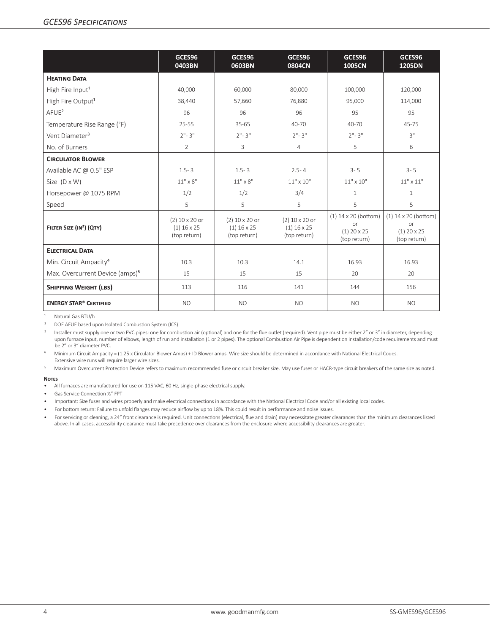|                                             | GCES96<br>0403BN                                  | GCES96<br>0603BN                                  | GCES96<br>0804CN                                  | GCES96<br><b>1005CN</b>                                                     | GCES96<br>1205DN                                                     |
|---------------------------------------------|---------------------------------------------------|---------------------------------------------------|---------------------------------------------------|-----------------------------------------------------------------------------|----------------------------------------------------------------------|
| <b>HEATING DATA</b>                         |                                                   |                                                   |                                                   |                                                                             |                                                                      |
| High Fire Input <sup>1</sup>                | 40,000                                            | 60,000                                            | 80,000                                            | 100,000                                                                     | 120,000                                                              |
| High Fire Output <sup>1</sup>               | 38,440                                            | 57,660                                            | 76,880                                            | 95,000                                                                      | 114,000                                                              |
| $A$ FUE <sup>2</sup>                        | 96                                                | 96                                                | 96                                                | 95                                                                          | 95                                                                   |
| Temperature Rise Range (°F)                 | $25 - 55$                                         | $35 - 65$                                         | 40-70                                             | $40 - 70$                                                                   | 45-75                                                                |
| Vent Diameter <sup>3</sup>                  | $2" - 3"$                                         | $2" - 3"$                                         | $2" - 3"$                                         | $2" - 3"$                                                                   | 3"                                                                   |
| No. of Burners                              | $\overline{2}$                                    | 3                                                 | $\overline{4}$                                    | 5                                                                           | 6                                                                    |
| <b>CIRCULATOR BLOWER</b>                    |                                                   |                                                   |                                                   |                                                                             |                                                                      |
| Available AC @ 0.5" ESP                     | $1.5 - 3$                                         | $1.5 - 3$                                         | $2.5 - 4$                                         | $3 - 5$                                                                     | $3 - 5$                                                              |
| Size $(D \times W)$                         | $11" \times 8"$                                   | $11" \times 8"$                                   | $11" \times 10"$                                  | $11" \times 10"$                                                            | $11" \times 11"$                                                     |
| Horsepower @ 1075 RPM                       | 1/2                                               | 1/2                                               | 3/4                                               | $\mathbf{1}$                                                                | $\mathbf{1}$                                                         |
| Speed                                       | 5                                                 | 5                                                 | 5                                                 | 5                                                                           | 5                                                                    |
| FILTER SIZE (IN <sup>2</sup> ) (QTY)        | $(2)$ 10 x 20 or<br>$(1)$ 16 x 25<br>(top return) | $(2)$ 10 x 20 or<br>$(1)$ 16 x 25<br>(top return) | $(2)$ 10 x 20 or<br>$(1)$ 16 x 25<br>(top return) | $(1)$ 14 x 20 (bottom)<br><b>or</b><br>$(1)$ 20 $\times$ 25<br>(top return) | $(1)$ 14 x 20 (bottom)<br><b>or</b><br>$(1)$ 20 x 25<br>(top return) |
| <b>ELECTRICAL DATA</b>                      |                                                   |                                                   |                                                   |                                                                             |                                                                      |
| Min. Circuit Ampacity <sup>4</sup>          | 10.3                                              | 10.3                                              | 14.1                                              | 16.93                                                                       | 16.93                                                                |
| Max. Overcurrent Device (amps) <sup>5</sup> | 15                                                | 15                                                | 15                                                | 20                                                                          | 20                                                                   |
| <b>SHIPPING WEIGHT (LBS)</b>                | 113                                               | 116                                               | 141                                               | 144                                                                         | 156                                                                  |
| <b>ENERGY STAR® CERTIFIED</b>               | <b>NO</b>                                         | <b>NO</b>                                         | <b>NO</b>                                         | <b>NO</b>                                                                   | <b>NO</b>                                                            |

<sup>1</sup> Natural Gas BTU/h

² DOE AFUE based upon Isolated Combustion System (ICS)

<sup>3</sup> Installer must supply one or two PVC pipes: one for combustion air (optional) and one for the flue outlet (required). Vent pipe must be either 2" or 3" in diameter, depending upon furnace input, number of elbows, length of run and installation (1 or 2 pipes). The optional Combustion Air Pipe is dependent on installation/code requirements and must be 2" or 3" diameter PVC.

⁴ Minimum Circuit Ampacity = (1.25 x Circulator Blower Amps) + ID Blower amps. Wire size should be determined in accordance with National Electrical Codes. Extensive wire runs will require larger wire sizes.

<sup>5</sup> Maximum Overcurrent Protection Device refers to maximum recommended fuse or circuit breaker size. May use fuses or HACR-type circuit breakers of the same size as noted.

#### **Notes**

• All furnaces are manufactured for use on 115 VAC, 60 Hz, single-phase electrical supply.

• Gas Service Connection ½" FPT

• Important: Size fuses and wires properly and make electrical connections in accordance with the National Electrical Code and/or all existing local codes.

• For bottom return: Failure to unfold flanges may reduce airflow by up to 18%. This could result in performance and noise issues.

• For servicing or cleaning, a 24" front clearance is required. Unit connections (electrical, flue and drain) may necessitate greater clearances than the minimum clearances listed above. In all cases, accessibility clearance must take precedence over clearances from the enclosure where accessibility clearances are greater.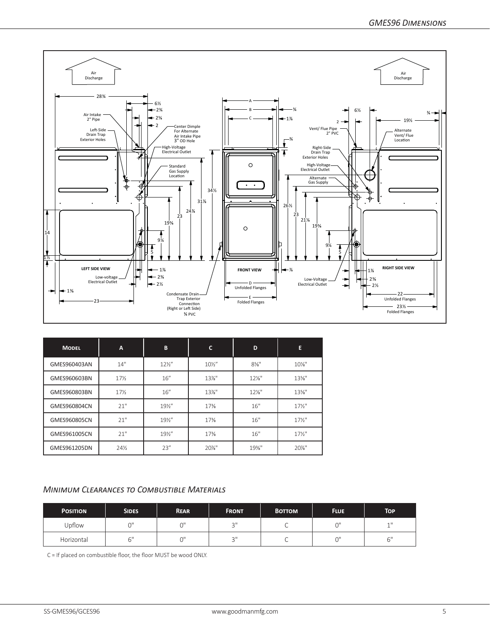

| <b>MODEL</b> | A               | B               | C               | D        | E               |
|--------------|-----------------|-----------------|-----------------|----------|-----------------|
| GMES960403AN | 14"             | $12\frac{1}{2}$ | $10\frac{1}{2}$ | $8\%$ "  | $10\%$ "        |
| GMES960603BN | $17\%$          | 16''            | $13\%$ "        | $12\%$ " | $13\%$ "        |
| GMES960803BN | $17\frac{1}{2}$ | 16''            | $13\%$ "        | $12\%$ " | $13\%$ "        |
| GMES960804CN | 21"             | 191/2"          | 17%             | 16"      | $17\frac{1}{2}$ |
| GMES960805CN | 21"             | 191/2"          | 17%             | 16"      | $17\frac{1}{2}$ |
| GMES961005CN | 21"             | $19\%$ "        | 17%             | 16"      | $17\frac{1}{2}$ |
| GMES961205DN | $24\frac{1}{2}$ | 23''            | 20%"            | $19%$ "  | 20%"            |

#### *Minimum Clearances to Combustible Materials*

| <b>POSITION</b> | <b>SIDES</b> | <b>REAR</b> | <b>FRONT</b>            | <b>BOTTOM</b> | <b>FLUE</b> | <b>TOP</b>     |
|-----------------|--------------|-------------|-------------------------|---------------|-------------|----------------|
| Upflow          | $\sim$       | $\bigcap$   | $2^{\prime\prime}$<br>ٮ |               |             | 11             |
| Horizontal      | $\sim$ 11    | $\bigcap$   | $2^{\prime\prime}$<br>┘ |               |             | $\sim$ 11<br>ь |

C = If placed on combustible floor, the floor MUST be wood ONLY.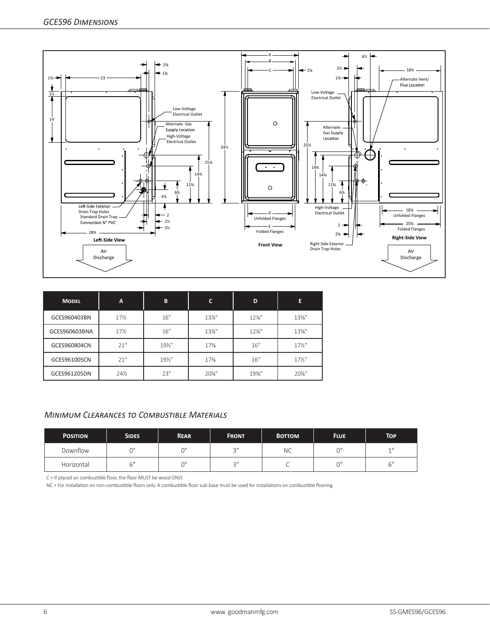

| <b>MODEL</b>  | A               | B      | C        | D        | Е               |
|---------------|-----------------|--------|----------|----------|-----------------|
| GCES960403BN  | $17\frac{1}{2}$ | 16''   | $13\%$ " | $12\%$ " | $13\%$ "        |
| GCES960603BNA | $17\frac{1}{2}$ | 16''   | $13\%$ " | $12\%$ " | $13\%$ "        |
| GCES960804CN  | 21"             | 191/2" | $17\%$   | 16"      | $17\frac{1}{2}$ |
| GCES961005CN  | 21"             | 191/2" | 17%      | 16"      | $17\frac{1}{2}$ |
| GCES961205DN  | $24\frac{1}{2}$ | 23''   | 20%"     | 19%"     | 20%"            |

#### *Minimum Clearances to Combustible Materials*

| <b>POSITION</b> | <b>SIDES</b> | <b>REAR</b> | <b>FRONT</b>   | <b>BOTTOM</b> | <b>FLUE</b> | <b>TOP</b>     |
|-----------------|--------------|-------------|----------------|---------------|-------------|----------------|
| Downflow        |              | $\bigcap$   | $\bigcap$<br>÷ | <b>NC</b>     |             | 4H             |
| Horizontal      |              | $\bigcap$   | $\bigcap$<br>÷ | ◡             |             | $\sim$ 11<br>ь |

C = If placed on combustible floor, the floor MUST be wood ONLY.

NC = For installation on non-combustible floors only. A combustible floor sub-base must be used for installations on combustible flooring.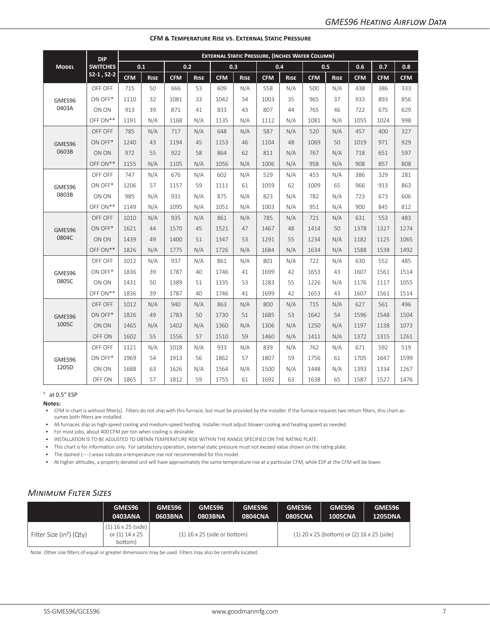|              | <b>DIP</b>      |            |             |            |             |            |             | <b>EXTERNAL STATIC PRESSURE, (INCHES WATER COLUMN)</b> |             |            |             |            |            |            |
|--------------|-----------------|------------|-------------|------------|-------------|------------|-------------|--------------------------------------------------------|-------------|------------|-------------|------------|------------|------------|
| <b>MODEL</b> | <b>SWITCHES</b> | 0.1        |             | 0.2        |             |            | 0.3         |                                                        | 0.4         |            | 0.5         | 0.6        | 0.7        | 0.8        |
|              | $S2-1, S2-2$    | <b>CFM</b> | <b>RISE</b> | <b>CFM</b> | <b>RISE</b> | <b>CFM</b> | <b>RISE</b> | <b>CFM</b>                                             | <b>RISE</b> | <b>CFM</b> | <b>RISE</b> | <b>CFM</b> | <b>CFM</b> | <b>CFM</b> |
|              | OFF OFF         | 715        | 50          | 666        | 53          | 609        | N/A         | 558                                                    | N/A         | 500        | N/A         | 438        | 386        | 333        |
| GMES96       | ON OFF*         | 1110       | 32          | 1081       | 33          | 1042       | 34          | 1003                                                   | 35          | 965        | 37          | 933        | 893        | 856        |
| 0403A        | ON ON           | 913        | 39          | 871        | 41          | 833        | 43          | 807                                                    | 44          | 765        | 46          | 722        | 675        | 629        |
|              | OFF ON**        | 1191       | N/A         | 1168       | N/A         | 1135       | N/A         | 1112                                                   | N/A         | 1081       | N/A         | 1055       | 1024       | 998        |
|              | OFF OFF         | 785        | N/A         | 717        | N/A         | 648        | N/A         | 587                                                    | N/A         | 520        | N/A         | 457        | 400        | 327        |
| GMES96       | ON OFF*         | 1240       | 43          | 1194       | 45          | 1153       | 46          | 1104                                                   | 48          | 1069       | 50          | 1019       | 971        | 929        |
| 0603B        | ON ON           | 972        | 55          | 922        | 58          | 864        | 62          | 811                                                    | N/A         | 767        | N/A         | 718        | 651        | 597        |
|              | OFF ON**        | 1155       | N/A         | 1105       | N/A         | 1056       | N/A         | 1006                                                   | N/A         | 958        | N/A         | 908        | 857        | 808        |
|              | OFF OFF         | 747        | N/A         | 676        | N/A         | 602        | N/A         | 529                                                    | N/A         | 453        | N/A         | 386        | 329        | 281        |
| GMES96       | ON OFF*         | 1206       | 57          | 1157       | 59          | 1111       | 61          | 1059                                                   | 62          | 1009       | 65          | 966        | 913        | 863        |
| 0803B        | ON ON           | 985        | N/A         | 931        | N/A         | 875        | N/A         | 823                                                    | N/A         | 782        | N/A         | 723        | 673        | 606        |
|              | OFF ON**        | 1149       | N/A         | 1095       | N/A         | 1051       | N/A         | 1003                                                   | N/A         | 951        | N/A         | 900        | 845        | 812        |
|              | OFF OFF         | 1010       | N/A         | 935        | N/A         | 861        | N/A         | 785                                                    | N/A         | 721        | N/A         | 631        | 553        | 483        |
| GMES96       | ON OFF*         | 1621       | 44          | 1570       | 45          | 1521       | 47          | 1467                                                   | 48          | 1414       | 50          | 1378       | 1327       | 1274       |
| 0804C        | ON ON           | 1439       | 49          | 1400       | 51          | 1347       | 53          | 1291                                                   | 55          | 1234       | N/A         | 1182       | 1125       | 1065       |
|              | OFF ON**        | 1826       | N/A         | 1775       | N/A         | 1726       | N/A         | 1684                                                   | N/A         | 1634       | N/A         | 1588       | 1538       | 1492       |
|              | OFF OFF         | 1012       | N/A         | 937        | N/A         | 861        | N/A         | 801                                                    | N/A         | 722        | N/A         | 630        | 552        | 485        |
| GMES96       | ON OFF*         | 1836       | 39          | 1787       | 40          | 1746       | 41          | 1699                                                   | 42          | 1653       | 43          | 1607       | 1561       | 1514       |
| 0805C        | ON ON           | 1431       | 50          | 1389       | 51          | 1335       | 53          | 1283                                                   | 55          | 1226       | N/A         | 1176       | 1117       | 1055       |
|              | OFF ON**        | 1836       | 39          | 1787       | 40          | 1746       | 41          | 1699                                                   | 42          | 1653       | 43          | 1607       | 1561       | 1514       |
|              | OFF OFF         | 1012       | N/A         | 940        | N/A         | 863        | N/A         | 800                                                    | N/A         | 715        | N/A         | 627        | 561        | 496        |
| GMES96       | ON OFF*         | 1826       | 49          | 1783       | 50          | 1730       | 51          | 1685                                                   | 53          | 1642       | 54          | 1596       | 1548       | 1504       |
| 1005C        | ON ON           | 1465       | N/A         | 1402       | N/A         | 1360       | N/A         | 1306                                                   | N/A         | 1250       | N/A         | 1197       | 1138       | 1073       |
|              | OFF ON          | 1602       | 55          | 1556       | 57          | 1510       | 59          | 1460                                                   | N/A         | 1411       | N/A         | 1372       | 1315       | 1261       |
|              | OFF OFF         | 1121       | N/A         | 1018       | N/A         | 933        | N/A         | 839                                                    | N/A         | 762        | N/A         | 671        | 592        | 519        |
| GMES96       | ON OFF*         | 1969       | 54          | 1913       | 56          | 1862       | 57          | 1807                                                   | 59          | 1756       | 61          | 1705       | 1647       | 1599       |
| 1205D        | ON ON           | 1688       | 63          | 1626       | N/A         | 1564       | N/A         | 1500                                                   | N/A         | 1448       | N/A         | 1393       | 1334       | 1267       |
|              | OFF ON          | 1865       | 57          | 1812       | 59          | 1755       | 61          | 1692                                                   | 63          | 1638       | 65          | 1587       | 1527       | 1476       |

 $1$  at 0.5" ESP

**Notes:**

• CFM in chart is without filter(s). Filters do not ship with this furnace, but must be provided by the installer. If the furnace requires two return filters, this chart assumes both filters are installed.

• All furnaces ship as high-speed cooling and medium-speed heating. Installer must adjust blower cooling and heating speed as needed.

• For most jobs, about 400 CFM per ton when cooling is desirable.

• INSTALLATION IS TO BE ADJUSTED TO OBTAIN TEMPERATURE RISE WITHIN THE RANGE SPECIFIED ON THE RATING PLATE.

• This chart is for information only. For satisfactory operation, external static pressure must not exceed value shown on the rating plate.

• The dashed (----) areas indicate a temperature rise not recommended for this model.

• At higher altitudes, a properly derated unit will have approximately the same temperature rise at a particular CFM, while ESP at the CFM will be lower.

#### *Minimum Filter Sizes*

|                                      | GMES96                                            | GMES96  | GMES96                         | GMES96         | GMES96         | GMES96                                         | GMES96         |
|--------------------------------------|---------------------------------------------------|---------|--------------------------------|----------------|----------------|------------------------------------------------|----------------|
|                                      | 0403ANA                                           | 0603BNA | <b>0803BNA</b>                 | <b>0804CNA</b> | <b>0805CNA</b> | <b>1005CNA</b>                                 | <b>1205DNA</b> |
| Filter Size (in <sup>2</sup> ) (Qty) | $(1)$ 16 x 25 (side)<br>or (1) 14 x 25<br>bottom) |         | $(1)$ 16 x 25 (side or bottom) |                |                | $(1)$ 20 x 25 (bottom) or $(2)$ 16 x 25 (side) |                |

Note: Other size filters of equal or greater dimensions may be used. Filters may also be centrally located.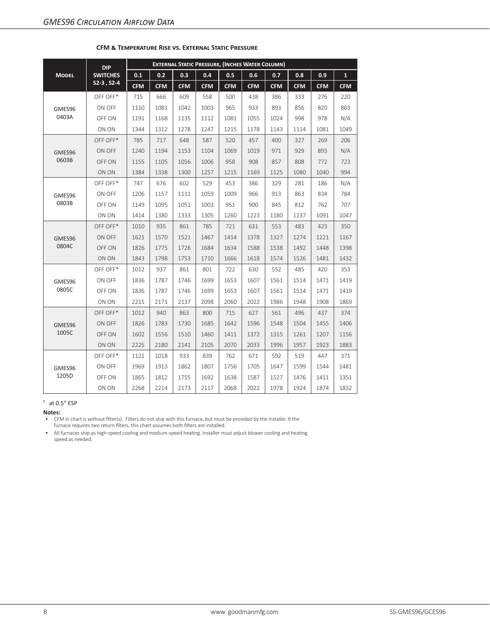|              | <b>DIP</b>      |            |            | <b>EXTERNAL STATIC PRESSURE, (INCHES WATER COLUMN)</b> |            |            |            |            |            |            |              |
|--------------|-----------------|------------|------------|--------------------------------------------------------|------------|------------|------------|------------|------------|------------|--------------|
| <b>MODEL</b> | <b>SWITCHES</b> | 0.1        | 0.2        | 0.3                                                    | 0.4        | 0.5        | 0.6        | 0.7        | 0.8        | 0.9        | $\mathbf{1}$ |
|              | $S2-3$ , $S2-4$ | <b>CFM</b> | <b>CFM</b> | <b>CFM</b>                                             | <b>CFM</b> | <b>CFM</b> | <b>CFM</b> | <b>CFM</b> | <b>CFM</b> | <b>CFM</b> | <b>CFM</b>   |
|              | OFF OFF*        | 715        | 666        | 609                                                    | 558        | 500        | 438        | 386        | 333        | 276        | 220          |
| GMES96       | ON OFF          | 1110       | 1081       | 1042                                                   | 1003       | 965        | 933        | 893        | 856        | 820        | 803          |
| 0403A        | OFF ON          | 1191       | 1168       | 1135                                                   | 1112       | 1081       | 1055       | 1024       | 998        | 978        | N/A          |
|              | ON ON           | 1344       | 1312       | 1278                                                   | 1247       | 1215       | 1178       | 1143       | 1114       | 1081       | 1049         |
|              | OFF OFF*        | 785        | 717        | 648                                                    | 587        | 520        | 457        | 400        | 327        | 269        | 206          |
| GMES96       | ON OFF          | 1240       | 1194       | 1153                                                   | 1104       | 1069       | 1019       | 971        | 929        | 893        | N/A          |
| 0603B        | OFF ON          | 1155       | 1105       | 1056                                                   | 1006       | 958        | 908        | 857        | 808        | 772        | 723          |
|              | ON ON           | 1384       | 1338       | 1300                                                   | 1257       | 1215       | 1169       | 1125       | 1080       | 1040       | 994          |
|              | OFF OFF*        | 747        | 676        | 602                                                    | 529        | 453        | 386        | 329        | 281        | 186        | N/A          |
| GMES96       | ON OFF          | 1206       | 1157       | 1111                                                   | 1059       | 1009       | 966        | 913        | 863        | 834        | 784          |
| 0803B        | OFF ON          | 1149       | 1095       | 1051                                                   | 1003       | 951        | 900        | 845        | 812        | 762        | 707          |
|              | ON ON           | 1414       | 1380       | 1333                                                   | 1305       | 1260       | 1223       | 1180       | 1137       | 1091       | 1047         |
|              | OFF OFF*        | 1010       | 935        | 861                                                    | 785        | 721        | 631        | 553        | 483        | 423        | 350          |
| GMES96       | ON OFF          | 1621       | 1570       | 1521                                                   | 1467       | 1414       | 1378       | 1327       | 1274       | 1221       | 1167         |
| 0804C        | OFF ON          | 1826       | 1775       | 1726                                                   | 1684       | 1634       | 1588       | 1538       | 1492       | 1448       | 1398         |
|              | ON ON           | 1843       | 1798       | 1753                                                   | 1710       | 1666       | 1618       | 1574       | 1526       | 1481       | 1432         |
|              | OFF OFF*        | 1012       | 937        | 861                                                    | 801        | 722        | 630        | 552        | 485        | 420        | 353          |
| GMES96       | ON OFF          | 1836       | 1787       | 1746                                                   | 1699       | 1653       | 1607       | 1561       | 1514       | 1471       | 1419         |
| 0805C        | OFF ON          | 1836       | 1787       | 1746                                                   | 1699       | 1653       | 1607       | 1561       | 1514       | 1471       | 1419         |
|              | ON ON           | 2215       | 2171       | 2137                                                   | 2098       | 2060       | 2022       | 1986       | 1948       | 1908       | 1869         |
|              | OFF OFF*        | 1012       | 940        | 863                                                    | 800        | 715        | 627        | 561        | 496        | 437        | 374          |
| GMES96       | ON OFF          | 1826       | 1783       | 1730                                                   | 1685       | 1642       | 1596       | 1548       | 1504       | 1455       | 1406         |
| 1005C        | OFF ON          | 1602       | 1556       | 1510                                                   | 1460       | 1411       | 1372       | 1315       | 1261       | 1207       | 1156         |
|              | ON ON           | 2225       | 2180       | 2141                                                   | 2105       | 2070       | 2033       | 1996       | 1957       | 1923       | 1883         |
|              | OFF OFF*        | 1121       | 1018       | 933                                                    | 839        | 762        | 671        | 592        | 519        | 447        | 371          |
| GMES96       | ON OFF          | 1969       | 1913       | 1862                                                   | 1807       | 1756       | 1705       | 1647       | 1599       | 1544       | 1481         |
| 1205D        | OFF ON          | 1865       | 1812       | 1755                                                   | 1692       | 1638       | 1587       | 1527       | 1476       | 1411       | 1351         |
|              | ON ON           | 2268       | 2214       | 2173                                                   | 2117       | 2068       | 2022       | 1978       | 1924       | 1874       | 1832         |

 $1$  at 0.5 $"$  ESP

#### **Notes:**

• CFM in chart is without filter(s). Filters do not ship with this furnace, but must be provided by the installer. If the

furnace requires two return filters, this chart assumes both filters are installed.

• All furnaces ship as high-speed cooling and medium-speed heating. Installer must adjust blower cooling and heating speed as needed.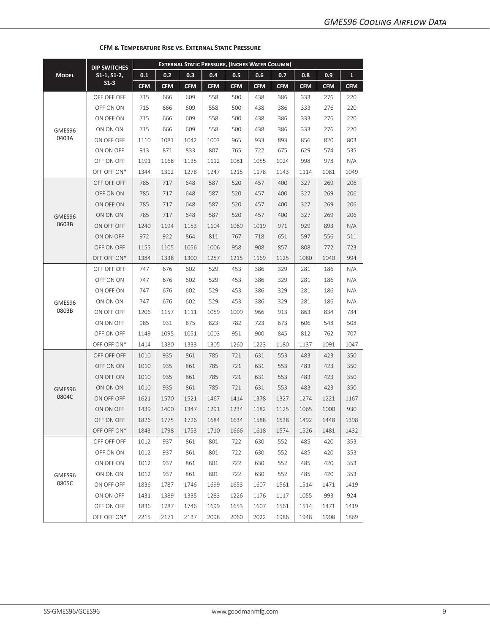|                                                       | <b>DIP SWITCHES</b> |            |            |            |            | <b>EXTERNAL STATIC PRESSURE, (INCHES WATER COLUMN)</b> |            |            |            |            |              |
|-------------------------------------------------------|---------------------|------------|------------|------------|------------|--------------------------------------------------------|------------|------------|------------|------------|--------------|
| <b>MODEL</b>                                          | $51-1, S1-2,$       | 0.1        | 0.2        | 0.3        | 0.4        | 0.5                                                    | 0.6        | 0.7        | 0.8        | 0.9        | $\mathbf{1}$ |
|                                                       | $S1-3$              | <b>CFM</b> | <b>CFM</b> | <b>CFM</b> | <b>CFM</b> | <b>CFM</b>                                             | <b>CFM</b> | <b>CFM</b> | <b>CFM</b> | <b>CFM</b> | <b>CFM</b>   |
|                                                       | OFF OFF OFF         | 715        | 666        | 609        | 558        | 500                                                    | 438        | 386        | 333        | 276        | 220          |
|                                                       | OFF ON ON           | 715        | 666        | 609        | 558        | 500                                                    | 438        | 386        | 333        | 276        | 220          |
|                                                       | ON OFF ON           | 715        | 666        | 609        | 558        | 500                                                    | 438        | 386        | 333        | 276        | 220          |
| GMES96                                                | ON ON ON            | 715        | 666        | 609        | 558        | 500                                                    | 438        | 386        | 333        | 276        | 220          |
| 0403A                                                 | ON OFF OFF          | 1110       | 1081       | 1042       | 1003       | 965                                                    | 933        | 893        | 856        | 820        | 803          |
|                                                       | ON ON OFF           | 913        | 871        | 833        | 807        | 765                                                    | 722        | 675        | 629        | 574        | 535          |
|                                                       | OFF ON OFF          | 1191       | 1168       | 1135       | 1112       | 1081                                                   | 1055       | 1024       | 998        | 978        | N/A          |
|                                                       | OFF OFF ON*         | 1344       | 1312       | 1278       | 1247       | 1215                                                   | 1178       | 1143       | 1114       | 1081       | 1049         |
|                                                       | OFF OFF OFF         | 785        | 717        | 648        | 587        | 520                                                    | 457        | 400        | 327        | 269        | 206          |
|                                                       | OFF ON ON           | 785        | 717        | 648        | 587        | 520                                                    | 457        | 400        | 327        | 269        | 206          |
|                                                       | ON OFF ON           | 785        | 717        | 648        | 587        | 520                                                    | 457        | 400        | 327        | 269        | 206          |
| GMES96                                                | ON ON ON            | 785        | 717        | 648        | 587        | 520                                                    | 457        | 400        | 327        | 269        | 206          |
| 0603B                                                 | ON OFF OFF          | 1240       | 1194       | 1153       | 1104       | 1069                                                   | 1019       | 971        | 929        | 893        | N/A          |
|                                                       | ON ON OFF           | 972        | 922        | 864        | 811        | 767                                                    | 718        | 651        | 597        | 556        | 511          |
|                                                       | OFF ON OFF          | 1155       | 1105       | 1056       | 1006       | 958                                                    | 908        | 857        | 808        | 772        | 723          |
|                                                       | OFF OFF ON*         | 1384       | 1338       | 1300       | 1257       | 1215                                                   | 1169       | 1125       | 1080       | 1040       | 994          |
|                                                       | OFF OFF OFF         | 747        | 676        | 602        | 529        | 453                                                    | 386        | 329        | 281        | 186        | N/A          |
| GMES96<br>0803B<br>GMES96<br>0804C<br>GMES96<br>0805C | OFF ON ON           | 747        | 676        | 602        | 529        | 453                                                    | 386        | 329        | 281        | 186        | N/A          |
|                                                       | ON OFF ON           | 747        | 676        | 602        | 529        | 453                                                    | 386        | 329        | 281        | 186        | N/A          |
|                                                       | ON ON ON            | 747        | 676        | 602        | 529        | 453                                                    | 386        | 329        | 281        | 186        | N/A          |
|                                                       | ON OFF OFF          | 1206       | 1157       | 1111       | 1059       | 1009                                                   | 966        | 913        | 863        | 834        | 784          |
|                                                       | ON ON OFF           | 985        | 931        | 875        | 823        | 782                                                    | 723        | 673        | 606        | 548        | 508          |
|                                                       | OFF ON OFF          | 1149       | 1095       | 1051       | 1003       | 951                                                    | 900        | 845        | 812        | 762        | 707          |
|                                                       | OFF OFF ON*         | 1414       | 1380       | 1333       | 1305       | 1260                                                   | 1223       | 1180       | 1137       | 1091       | 1047         |
|                                                       | OFF OFF OFF         | 1010       | 935        | 861        | 785        | 721                                                    | 631        | 553        | 483        | 423        | 350          |
|                                                       | OFF ON ON           | 1010       | 935        | 861        | 785        | 721                                                    | 631        | 553        | 483        | 423        | 350          |
|                                                       | ON OFF ON           | 1010       | 935        | 861        | 785        | 721                                                    | 631        | 553        | 483        | 423        | 350          |
|                                                       | ON ON ON            | 1010       | 935        | 861        | 785        | 721                                                    | 631        | 553        | 483        | 423        | 350          |
|                                                       | ON OFF OFF          | 1621       | 1570       | 1521       | 1467       | 1414                                                   | 1378       | 1327       | 1274       | 1221       | 1167         |
|                                                       | ON ON OFF           | 1439       | 1400       | 1347       | 1291       | 1234                                                   | 1182       | 1125       | 1065       | 1000       | 930          |
|                                                       | OFF ON OFF          | 1826       | 1775       | 1726       | 1684       | 1634                                                   | 1588       | 1538       | 1492       | 1448       | 1398         |
|                                                       | OFF OFF ON*         | 1843       | 1798       | 1753       | 1710       | 1666                                                   | 1618       | 1574       | 1526       | 1481       | 1432         |
|                                                       | OFF OFF OFF         | 1012       | 937        | 861        | 801        | 722                                                    | 630        | 552        | 485        | 420        | 353          |
|                                                       | OFF ON ON           | 1012       | 937        | 861        | 801        | 722                                                    | 630        | 552        | 485        | 420        | 353          |
|                                                       | ON OFF ON           | 1012       | 937        | 861        | 801        | 722                                                    | 630        | 552        | 485        | 420        | 353          |
|                                                       | ON ON ON            | 1012       | 937        | 861        | 801        | 722                                                    | 630        | 552        | 485        | 420        | 353          |
|                                                       | ON OFF OFF          | 1836       | 1787       | 1746       | 1699       | 1653                                                   | 1607       | 1561       | 1514       | 1471       | 1419         |
|                                                       | ON ON OFF           | 1431       | 1389       | 1335       | 1283       | 1226                                                   | 1176       | 1117       | 1055       | 993        | 924          |
|                                                       | OFF ON OFF          | 1836       | 1787       | 1746       | 1699       | 1653                                                   | 1607       | 1561       | 1514       | 1471       | 1419         |
|                                                       | OFF OFF ON*         | 2215       | 2171       | 2137       | 2098       | 2060                                                   | 2022       | 1986       | 1948       | 1908       | 1869         |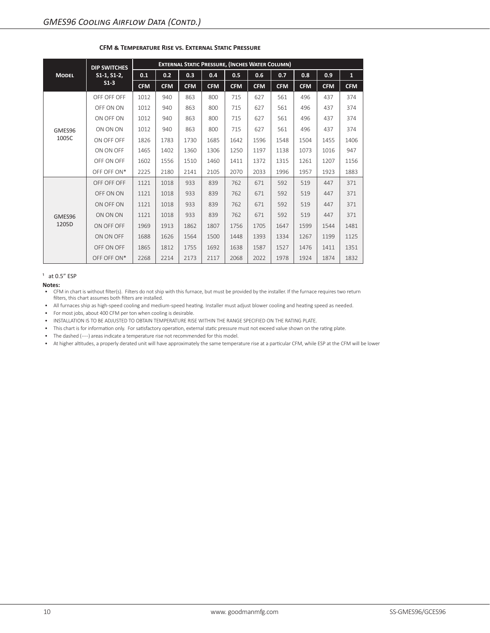|              | <b>DIP SWITCHES</b> | <b>EXTERNAL STATIC PRESSURE, (INCHES WATER COLUMN)</b> |            |            |            |            |            |            |            |            |              |  |
|--------------|---------------------|--------------------------------------------------------|------------|------------|------------|------------|------------|------------|------------|------------|--------------|--|
| <b>MODEL</b> | $S1-1, S1-2,$       | 0.1                                                    | 0.2        | 0.3        | 0.4        | 0.5        | 0.6        | 0.7        | 0.8        | 0.9        | $\mathbf{1}$ |  |
|              | $S1-3$              | <b>CFM</b>                                             | <b>CFM</b> | <b>CFM</b> | <b>CFM</b> | <b>CFM</b> | <b>CFM</b> | <b>CFM</b> | <b>CFM</b> | <b>CFM</b> | <b>CFM</b>   |  |
|              | OFF OFF OFF         | 1012                                                   | 940        | 863        | 800        | 715        | 627        | 561        | 496        | 437        | 374          |  |
|              | OFF ON ON           | 1012                                                   | 940        | 863        | 800        | 715        | 627        | 561        | 496        | 437        | 374          |  |
|              | ON OFF ON           | 1012                                                   | 940        | 863        | 800        | 715        | 627        | 561        | 496        | 437        | 374          |  |
| GMES96       | ON ON ON            | 1012                                                   | 940        | 863        | 800        | 715        | 627        | 561        | 496        | 437        | 374          |  |
| 1005C        | ON OFF OFF          | 1826                                                   | 1783       | 1730       | 1685       | 1642       | 1596       | 1548       | 1504       | 1455       | 1406         |  |
|              | ON ON OFF           | 1465                                                   | 1402       | 1360       | 1306       | 1250       | 1197       | 1138       | 1073       | 1016       | 947          |  |
|              | OFF ON OFF          | 1602                                                   | 1556       | 1510       | 1460       | 1411       | 1372       | 1315       | 1261       | 1207       | 1156         |  |
|              | OFF OFF ON*         | 2225                                                   | 2180       | 2141       | 2105       | 2070       | 2033       | 1996       | 1957       | 1923       | 1883         |  |
|              | OFF OFF OFF         | 1121                                                   | 1018       | 933        | 839        | 762        | 671        | 592        | 519        | 447        | 371          |  |
|              | OFF ON ON           | 1121                                                   | 1018       | 933        | 839        | 762        | 671        | 592        | 519        | 447        | 371          |  |
|              | ON OFF ON           | 1121                                                   | 1018       | 933        | 839        | 762        | 671        | 592        | 519        | 447        | 371          |  |
| GMES96       | ON ON ON            | 1121                                                   | 1018       | 933        | 839        | 762        | 671        | 592        | 519        | 447        | 371          |  |
| 1205D        | ON OFF OFF          | 1969                                                   | 1913       | 1862       | 1807       | 1756       | 1705       | 1647       | 1599       | 1544       | 1481         |  |
|              | ON ON OFF           | 1688                                                   | 1626       | 1564       | 1500       | 1448       | 1393       | 1334       | 1267       | 1199       | 1125         |  |
|              | OFF ON OFF          | 1865                                                   | 1812       | 1755       | 1692       | 1638       | 1587       | 1527       | 1476       | 1411       | 1351         |  |
|              | OFF OFF ON*         | 2268                                                   | 2214       | 2173       | 2117       | 2068       | 2022       | 1978       | 1924       | 1874       | 1832         |  |

 $1$  at 0.5" ESP

**Notes:**

• CFM in chart is without filter(s). Filters do not ship with this furnace, but must be provided by the installer. If the furnace requires two return filters, this chart assumes both filters are installed.

• All furnaces ship as high-speed cooling and medium-speed heating. Installer must adjust blower cooling and heating speed as needed.

• For most jobs, about 400 CFM per ton when cooling is desirable.

• INSTALLATION IS TO BE ADJUSTED TO OBTAIN TEMPERATURE RISE WITHIN THE RANGE SPECIFIED ON THE RATING PLATE.

• This chart is for information only. For satisfactory operation, external static pressure must not exceed value shown on the rating plate.

• The dashed (----) areas indicate a temperature rise not recommended for this model.

• At higher altitudes, a properly derated unit will have approximately the same temperature rise at a particular CFM, while ESP at the CFM will be lower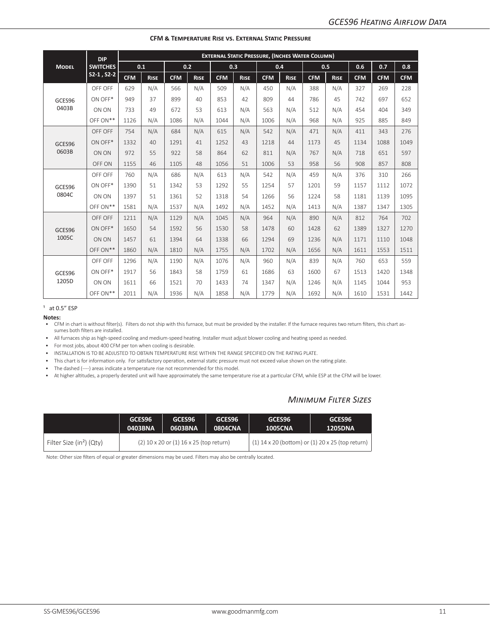|                 | <b>DIP</b>      | <b>EXTERNAL STATIC PRESSURE, (INCHES WATER COLUMN)</b> |             |            |             |            |             |            |             |            |             |            |            |            |
|-----------------|-----------------|--------------------------------------------------------|-------------|------------|-------------|------------|-------------|------------|-------------|------------|-------------|------------|------------|------------|
| <b>MODEL</b>    | <b>SWITCHES</b> | 0.1                                                    |             | 0.2        |             |            | 0.3         |            | 0.4         |            | 0.5         | 0.6        | 0.7        | 0.8        |
|                 | $S2-1, S2-2$    | <b>CFM</b>                                             | <b>RISE</b> | <b>CFM</b> | <b>RISE</b> | <b>CFM</b> | <b>RISE</b> | <b>CFM</b> | <b>RISE</b> | <b>CFM</b> | <b>RISE</b> | <b>CFM</b> | <b>CFM</b> | <b>CFM</b> |
|                 | OFF OFF         | 629                                                    | N/A         | 566        | N/A         | 509        | N/A         | 450        | N/A         | 388        | N/A         | 327        | 269        | 228        |
| GCES96          | ON OFF*         | 949                                                    | 37          | 899        | 40          | 853        | 42          | 809        | 44          | 786        | 45          | 742        | 697        | 652        |
| 0403B           | ON ON           | 733                                                    | 49          | 672        | 53          | 613        | N/A         | 563        | N/A         | 512        | N/A         | 454        | 404        | 349        |
|                 | OFF ON**        | 1126                                                   | N/A         | 1086       | N/A         | 1044       | N/A         | 1006       | N/A         | 968        | N/A         | 925        | 885        | 849        |
|                 | OFF OFF         | 754                                                    | N/A         | 684        | N/A         | 615        | N/A         | 542        | N/A         | 471        | N/A         | 411        | 343        | 276        |
| GCES96          | ON OFF*         | 1332                                                   | 40          | 1291       | 41          | 1252       | 43          | 1218       | 44          | 1173       | 45          | 1134       | 1088       | 1049       |
| 0603B           | ON ON           | 972                                                    | 55          | 922        | 58          | 864        | 62          | 811        | N/A         | 767        | N/A         | 718        | 651        | 597        |
|                 | OFF ON          | 1155                                                   | 46          | 1105       | 48          | 1056       | 51          | 1006       | 53          | 958        | 56          | 908        | 857        | 808        |
|                 | OFF OFF         | 760                                                    | N/A         | 686        | N/A         | 613        | N/A         | 542        | N/A         | 459        | N/A         | 376        | 310        | 266        |
| GCES96          | ON OFF*         | 1390                                                   | 51          | 1342       | 53          | 1292       | 55          | 1254       | 57          | 1201       | 59          | 1157       | 1112       | 1072       |
| 0804C           | ON ON           | 1397                                                   | 51          | 1361       | 52          | 1318       | 54          | 1266       | 56          | 1224       | 58          | 1181       | 1139       | 1095       |
|                 | OFF ON**        | 1581                                                   | N/A         | 1537       | N/A         | 1492       | N/A         | 1452       | N/A         | 1413       | N/A         | 1387       | 1347       | 1305       |
|                 | OFF OFF         | 1211                                                   | N/A         | 1129       | N/A         | 1045       | N/A         | 964        | N/A         | 890        | N/A         | 812        | 764        | 702        |
| GCES96          | ON OFF*         | 1650                                                   | 54          | 1592       | 56          | 1530       | 58          | 1478       | 60          | 1428       | 62          | 1389       | 1327       | 1270       |
| 1005C           | ON ON           | 1457                                                   | 61          | 1394       | 64          | 1338       | 66          | 1294       | 69          | 1236       | N/A         | 1171       | 1110       | 1048       |
|                 | OFF ON**        | 1860                                                   | N/A         | 1810       | N/A         | 1755       | N/A         | 1702       | N/A         | 1656       | N/A         | 1611       | 1553       | 1511       |
|                 | OFF OFF         | 1296                                                   | N/A         | 1190       | N/A         | 1076       | N/A         | 960        | N/A         | 839        | N/A         | 760        | 653        | 559        |
| GCES96<br>1205D | ON OFF*         | 1917                                                   | 56          | 1843       | 58          | 1759       | 61          | 1686       | 63          | 1600       | 67          | 1513       | 1420       | 1348       |
|                 | ON ON           | 1611                                                   | 66          | 1521       | 70          | 1433       | 74          | 1347       | N/A         | 1246       | N/A         | 1145       | 1044       | 953        |
|                 | OFF ON**        | 2011                                                   | N/A         | 1936       | N/A         | 1858       | N/A         | 1779       | N/A         | 1692       | N/A         | 1610       | 1531       | 1442       |

#### $1$  at 0.5" ESP

**Notes:**

• CFM in chart is without filter(s). Filters do not ship with this furnace, but must be provided by the installer. If the furnace requires two return filters, this chart assumes both filters are installed.

• All furnaces ship as high-speed cooling and medium-speed heating. Installer must adjust blower cooling and heating speed as needed.

• For most jobs, about 400 CFM per ton when cooling is desirable.

• INSTALLATION IS TO BE ADJUSTED TO OBTAIN TEMPERATURE RISE WITHIN THE RANGE SPECIFIED ON THE RATING PLATE.

• This chart is for information only. For satisfactory operation, external static pressure must not exceed value shown on the rating plate.

• The dashed (----) areas indicate a temperature rise not recommended for this model.

• At higher altitudes, a properly derated unit will have approximately the same temperature rise at a particular CFM, while ESP at the CFM will be lower.

### *Minimum Filter Sizes*

|                                      | GCES96  | GCES96                                      | GCES96         | GCES96                                             | GCES96         |
|--------------------------------------|---------|---------------------------------------------|----------------|----------------------------------------------------|----------------|
|                                      | 0403BNA | 0603BNA                                     | <b>0804CNA</b> | <b>1005CNA</b>                                     | <b>1205DNA</b> |
| Filter Size (in <sup>2</sup> ) (Qty) |         | $(2)$ 10 x 20 or $(1)$ 16 x 25 (top return) |                | $(1)$ 14 x 20 (bottom) or (1) 20 x 25 (top return) |                |

Note: Other size filters of equal or greater dimensions may be used. Filters may also be centrally located.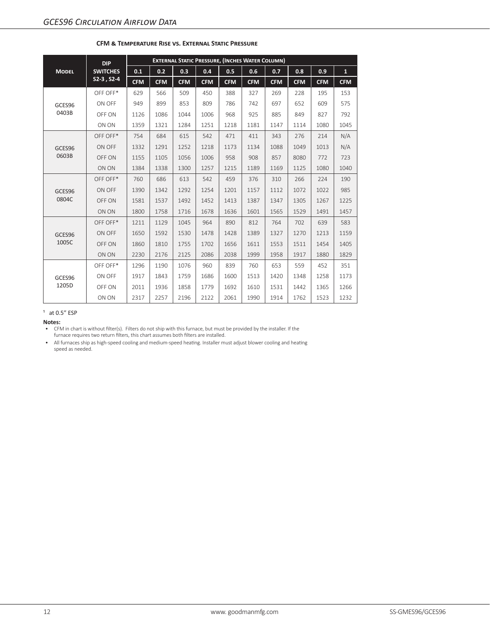|              | <b>DIP</b>      |            |            | <b>EXTERNAL STATIC PRESSURE, (INCHES WATER COLUMN)</b> |            |            |            |            |            |            |              |
|--------------|-----------------|------------|------------|--------------------------------------------------------|------------|------------|------------|------------|------------|------------|--------------|
| <b>MODEL</b> | <b>SWITCHES</b> | 0.1        | 0.2        | 0.3                                                    | 0.4        | 0.5        | 0.6        | 0.7        | 0.8        | 0.9        | $\mathbf{1}$ |
|              | $S2-3, S2-4$    | <b>CFM</b> | <b>CFM</b> | <b>CFM</b>                                             | <b>CFM</b> | <b>CFM</b> | <b>CFM</b> | <b>CFM</b> | <b>CFM</b> | <b>CFM</b> | <b>CFM</b>   |
|              | OFF OFF*        | 629        | 566        | 509                                                    | 450        | 388        | 327        | 269        | 228        | 195        | 153          |
| GCES96       | ON OFF          | 949        | 899        | 853                                                    | 809        | 786        | 742        | 697        | 652        | 609        | 575          |
| 0403B        | OFF ON          | 1126       | 1086       | 1044                                                   | 1006       | 968        | 925        | 885        | 849        | 827        | 792          |
|              | ON ON           | 1359       | 1321       | 1284                                                   | 1251       | 1218       | 1181       | 1147       | 1114       | 1080       | 1045         |
|              | OFF OFF*        | 754        | 684        | 615                                                    | 542        | 471        | 411        | 343        | 276        | 214        | N/A          |
| GCES96       | ON OFF          | 1332       | 1291       | 1252                                                   | 1218       | 1173       | 1134       | 1088       | 1049       | 1013       | N/A          |
| 0603B        | OFF ON          | 1155       | 1105       | 1056                                                   | 1006       | 958        | 908        | 857        | 8080       | 772        | 723          |
|              | ON ON           | 1384       | 1338       | 1300                                                   | 1257       | 1215       | 1189       | 1169       | 1125       | 1080       | 1040         |
|              | OFF OFF*        | 760        | 686        | 613                                                    | 542        | 459        | 376        | 310        | 266        | 224        | 190          |
| GCES96       | ON OFF          | 1390       | 1342       | 1292                                                   | 1254       | 1201       | 1157       | 1112       | 1072       | 1022       | 985          |
| 0804C        | OFF ON          | 1581       | 1537       | 1492                                                   | 1452       | 1413       | 1387       | 1347       | 1305       | 1267       | 1225         |
|              | ON ON           | 1800       | 1758       | 1716                                                   | 1678       | 1636       | 1601       | 1565       | 1529       | 1491       | 1457         |
|              | OFF OFF*        | 1211       | 1129       | 1045                                                   | 964        | 890        | 812        | 764        | 702        | 639        | 583          |
| GCES96       | ON OFF          | 1650       | 1592       | 1530                                                   | 1478       | 1428       | 1389       | 1327       | 1270       | 1213       | 1159         |
| 1005C        | OFF ON          | 1860       | 1810       | 1755                                                   | 1702       | 1656       | 1611       | 1553       | 1511       | 1454       | 1405         |
|              | ON ON           | 2230       | 2176       | 2125                                                   | 2086       | 2038       | 1999       | 1958       | 1917       | 1880       | 1829         |
|              | OFF OFF*        | 1296       | 1190       | 1076                                                   | 960        | 839        | 760        | 653        | 559        | 452        | 351          |
| GCES96       | ON OFF          | 1917       | 1843       | 1759                                                   | 1686       | 1600       | 1513       | 1420       | 1348       | 1258       | 1173         |
| 1205D        | OFF ON          | 2011       | 1936       | 1858                                                   | 1779       | 1692       | 1610       | 1531       | 1442       | 1365       | 1266         |
|              | ON ON           | 2317       | 2257       | 2196                                                   | 2122       | 2061       | 1990       | 1914       | 1762       | 1523       | 1232         |

 $1$  at 0.5 $"$  ESP

**Notes:**

• CFM in chart is without filter(s). Filters do not ship with this furnace, but must be provided by the installer. If the furnace requires two return filters, this chart assumes both filters are installed.

• All furnaces ship as high-speed cooling and medium-speed heating. Installer must adjust blower cooling and heating speed as needed.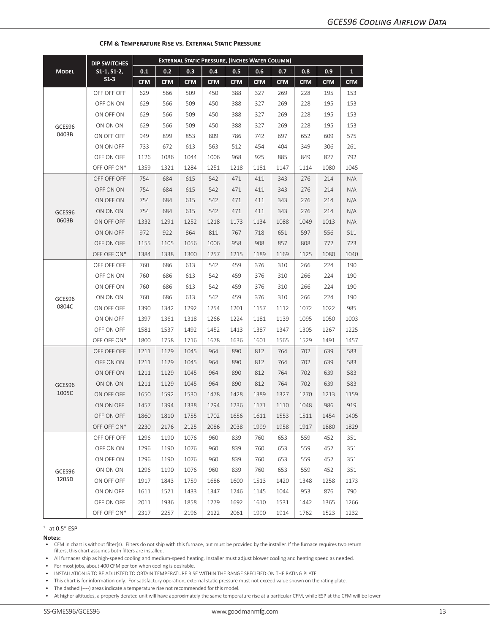|              | <b>DIP SWITCHES</b>     | <b>EXTERNAL STATIC PRESSURE, (INCHES WATER COLUMN)</b> |            |            |            |            |            |            |            |            |              |  |
|--------------|-------------------------|--------------------------------------------------------|------------|------------|------------|------------|------------|------------|------------|------------|--------------|--|
| <b>MODEL</b> | $S1-1, S1-2,$<br>$S1-3$ | 0.1                                                    | 0.2        | 0.3        | 0.4        | 0.5        | 0.6        | 0.7        | 0.8        | 0.9        | $\mathbf{1}$ |  |
|              |                         | <b>CFM</b>                                             | <b>CFM</b> | <b>CFM</b> | <b>CFM</b> | <b>CFM</b> | <b>CFM</b> | <b>CFM</b> | <b>CFM</b> | <b>CFM</b> | <b>CFM</b>   |  |
|              | OFF OFF OFF             | 629                                                    | 566        | 509        | 450        | 388        | 327        | 269        | 228        | 195        | 153          |  |
|              | OFF ON ON               | 629                                                    | 566        | 509        | 450        | 388        | 327        | 269        | 228        | 195        | 153          |  |
|              | ON OFF ON               | 629                                                    | 566        | 509        | 450        | 388        | 327        | 269        | 228        | 195        | 153          |  |
| GCES96       | ON ON ON                | 629                                                    | 566        | 509        | 450        | 388        | 327        | 269        | 228        | 195        | 153          |  |
| 0403B        | ON OFF OFF              | 949                                                    | 899        | 853        | 809        | 786        | 742        | 697        | 652        | 609        | 575          |  |
|              | ON ON OFF               | 733                                                    | 672        | 613        | 563        | 512        | 454        | 404        | 349        | 306        | 261          |  |
|              | OFF ON OFF              | 1126                                                   | 1086       | 1044       | 1006       | 968        | 925        | 885        | 849        | 827        | 792          |  |
|              | OFF OFF ON*             | 1359                                                   | 1321       | 1284       | 1251       | 1218       | 1181       | 1147       | 1114       | 1080       | 1045         |  |
|              | OFF OFF OFF             | 754                                                    | 684        | 615        | 542        | 471        | 411        | 343        | 276        | 214        | N/A          |  |
|              | OFF ON ON               | 754                                                    | 684        | 615        | 542        | 471        | 411        | 343        | 276        | 214        | N/A          |  |
|              | ON OFF ON               | 754                                                    | 684        | 615        | 542        | 471        | 411        | 343        | 276        | 214        | N/A          |  |
| GCES96       | ON ON ON                | 754                                                    | 684        | 615        | 542        | 471        | 411        | 343        | 276        | 214        | N/A          |  |
| 0603B        | ON OFF OFF              | 1332                                                   | 1291       | 1252       | 1218       | 1173       | 1134       | 1088       | 1049       | 1013       | N/A          |  |
|              | ON ON OFF               | 972                                                    | 922        | 864        | 811        | 767        | 718        | 651        | 597        | 556        | 511          |  |
|              | OFF ON OFF              | 1155                                                   | 1105       | 1056       | 1006       | 958        | 908        | 857        | 808        | 772        | 723          |  |
|              | OFF OFF ON*             | 1384                                                   | 1338       | 1300       | 1257       | 1215       | 1189       | 1169       | 1125       | 1080       | 1040         |  |
|              | OFF OFF OFF             | 760                                                    | 686        | 613        | 542        | 459        | 376        | 310        | 266        | 224        | 190          |  |
|              | OFF ON ON               | 760                                                    | 686        | 613        | 542        | 459        | 376        | 310        | 266        | 224        | 190          |  |
|              | ON OFF ON               | 760                                                    | 686        | 613        | 542        | 459        | 376        | 310        | 266        | 224        | 190          |  |
| GCES96       | ON ON ON                | 760                                                    | 686        | 613        | 542        | 459        | 376        | 310        | 266        | 224        | 190          |  |
| 0804C        | ON OFF OFF              | 1390                                                   | 1342       | 1292       | 1254       | 1201       | 1157       | 1112       | 1072       | 1022       | 985          |  |
|              | ON ON OFF               | 1397                                                   | 1361       | 1318       | 1266       | 1224       | 1181       | 1139       | 1095       | 1050       | 1003         |  |
|              | OFF ON OFF              | 1581                                                   | 1537       | 1492       | 1452       | 1413       | 1387       | 1347       | 1305       | 1267       | 1225         |  |
|              | OFF OFF ON*             | 1800                                                   | 1758       | 1716       | 1678       | 1636       | 1601       | 1565       | 1529       | 1491       | 1457         |  |
|              | OFF OFF OFF             | 1211                                                   | 1129       | 1045       | 964        | 890        | 812        | 764        | 702        | 639        | 583          |  |
|              | OFF ON ON               | 1211                                                   | 1129       | 1045       | 964        | 890        | 812        | 764        | 702        | 639        | 583          |  |
|              | ON OFF ON               | 1211                                                   | 1129       | 1045       | 964        | 890        | 812        | 764        | 702        | 639        | 583          |  |
| GCES96       | ON ON ON                | 1211                                                   | 1129       | 1045       | 964        | 890        | 812        | 764        | 702        | 639        | 583          |  |
| 1005C        | ON OFF OFF              | 1650                                                   | 1592       | 1530       | 1478       | 1428       | 1389       | 1327       | 1270       | 1213       | 1159         |  |
|              | ON ON OFF               | 1457                                                   | 1394       | 1338       | 1294       | 1236       | 1171       | 1110       | 1048       | 986        | 919          |  |
|              | OFF ON OFF              | 1860                                                   | 1810       | 1755       | 1702       | 1656       | 1611       | 1553       | 1511       | 1454       | 1405         |  |
|              | OFF OFF ON*             | 2230                                                   | 2176       | 2125       | 2086       | 2038       | 1999       | 1958       | 1917       | 1880       | 1829         |  |
|              | OFF OFF OFF             | 1296                                                   | 1190       | 1076       | 960        | 839        | 760        | 653        | 559        | 452        | 351          |  |
|              | OFF ON ON               | 1296                                                   | 1190       | 1076       | 960        | 839        | 760        | 653        | 559        | 452        | 351          |  |
|              | ON OFF ON               | 1296                                                   | 1190       | 1076       | 960        | 839        | 760        | 653        | 559        | 452        | 351          |  |
| GCES96       | ON ON ON                | 1296                                                   | 1190       | 1076       | 960        | 839        | 760        | 653        | 559        | 452        | 351          |  |
| 1205D        | ON OFF OFF              | 1917                                                   | 1843       | 1759       | 1686       | 1600       | 1513       | 1420       | 1348       | 1258       | 1173         |  |
|              | ON ON OFF               | 1611                                                   | 1521       | 1433       | 1347       | 1246       | 1145       | 1044       | 953        | 876        | 790          |  |
|              | OFF ON OFF              | 2011                                                   | 1936       | 1858       | 1779       | 1692       | 1610       | 1531       | 1442       | 1365       | 1266         |  |
|              | OFF OFF ON*             | 2317                                                   | 2257       | 2196       | 2122       | 2061       | 1990       | 1914       | 1762       | 1523       | 1232         |  |

#### $1$  at 0.5" ESP

**Notes:**

• CFM in chart is without filter(s). Filters do not ship with this furnace, but must be provided by the installer. If the furnace requires two return filters, this chart assumes both filters are installed.

• All furnaces ship as high-speed cooling and medium-speed heating. Installer must adjust blower cooling and heating speed as needed.

• For most jobs, about 400 CFM per ton when cooling is desirable.

• INSTALLATION IS TO BE ADJUSTED TO OBTAIN TEMPERATURE RISE WITHIN THE RANGE SPECIFIED ON THE RATING PLATE.

• This chart is for information only. For satisfactory operation, external static pressure must not exceed value shown on the rating plate.

• The dashed (----) areas indicate a temperature rise not recommended for this model.

• At higher altitudes, a properly derated unit will have approximately the same temperature rise at a particular CFM, while ESP at the CFM will be lower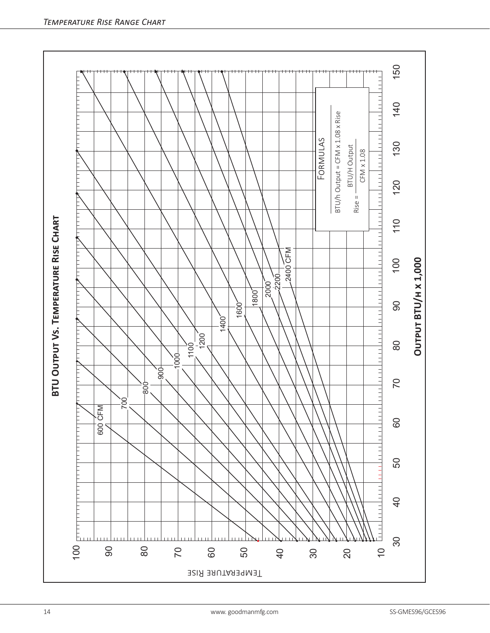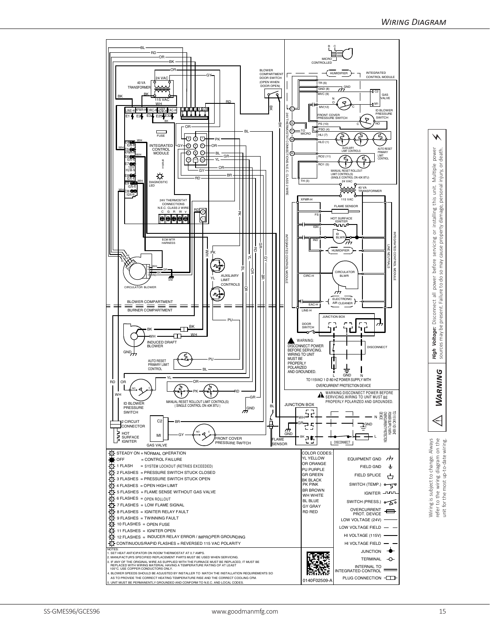



⚡

power<br>r de ath.

**WARNING**  $\triangleleft$ 

Wiring is subject to change. Always refer to the wiring diagram on the unit for the most up-to-date wiring.